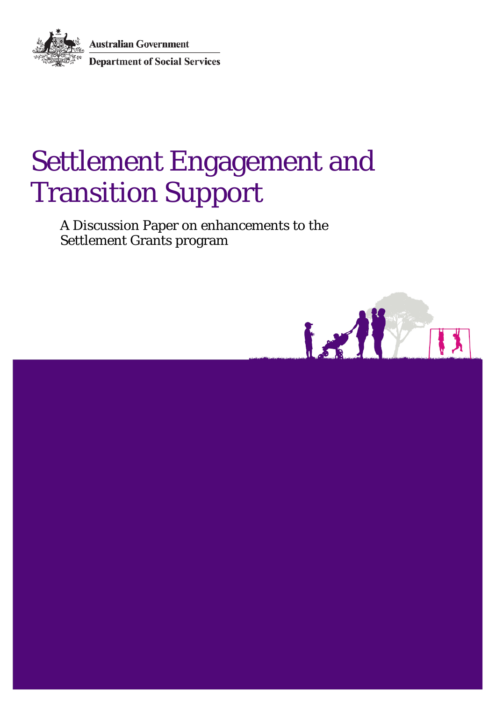**Australian Government** Department of Social Services

# Settlement Engagement and Transition Support

A Discussion Paper on enhancements to the Settlement Grants program

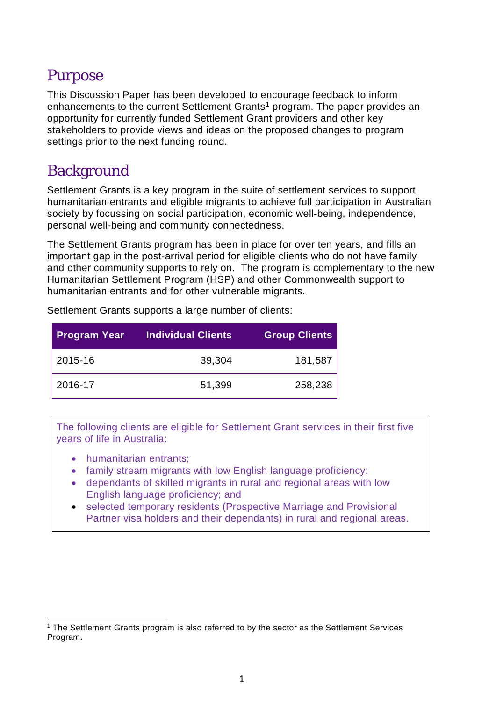# Purpose

This Discussion Paper has been developed to encourage feedback to inform enhancements to the current Settlement Grants<sup>[1](#page-1-0)</sup> program. The paper provides an opportunity for currently funded Settlement Grant providers and other key stakeholders to provide views and ideas on the proposed changes to program settings prior to the next funding round.

# **Background**

Settlement Grants is a key program in the suite of settlement services to support humanitarian entrants and eligible migrants to achieve full participation in Australian society by focussing on social participation, economic well-being, independence, personal well-being and community connectedness.

The Settlement Grants program has been in place for over ten years, and fills an important gap in the post-arrival period for eligible clients who do not have family and other community supports to rely on. The program is complementary to the new Humanitarian Settlement Program (HSP) and other Commonwealth support to humanitarian entrants and for other vulnerable migrants.

| <b>Program Year</b> | <b>Individual Clients</b> | <b>Group Clients</b> |
|---------------------|---------------------------|----------------------|
| 2015-16             | 39,304                    | 181,587              |
| 2016-17             | 51,399                    | 258,238              |

Settlement Grants supports a large number of clients:

The following clients are eligible for Settlement Grant services in their first five years of life in Australia:

- humanitarian entrants;
- family stream migrants with low English language proficiency;
- dependants of skilled migrants in rural and regional areas with low English language proficiency; and
- selected temporary residents (Prospective Marriage and Provisional Partner visa holders and their dependants) in rural and regional areas.

<span id="page-1-0"></span> <sup>1</sup> The Settlement Grants program is also referred to by the sector as the Settlement Services Program.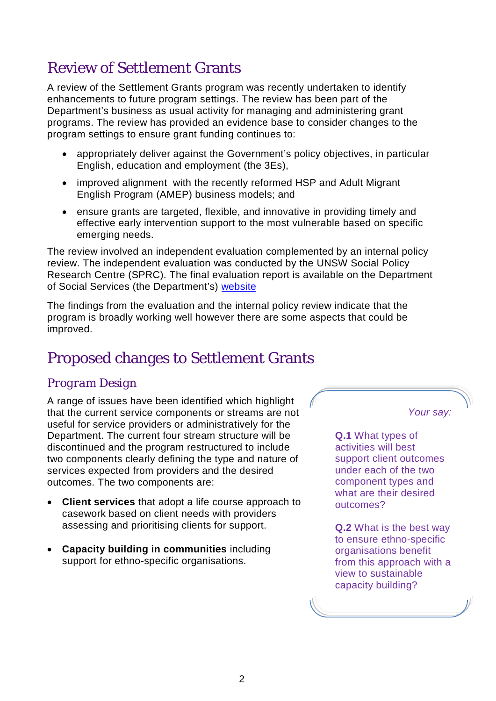# Review of Settlement Grants

A review of the Settlement Grants program was recently undertaken to identify enhancements to future program settings. The review has been part of the Department's business as usual activity for managing and administering grant programs. The review has provided an evidence base to consider changes to the program settings to ensure grant funding continues to:

- appropriately deliver against the Government's policy objectives, in particular English, education and employment (the 3Es),
- improved alignment with the recently reformed HSP and Adult Migrant English Program (AMEP) business models; and
- ensure grants are targeted, flexible, and innovative in providing timely and effective early intervention support to the most vulnerable based on specific emerging needs.

The review involved an independent evaluation complemented by an internal policy review. The independent evaluation was conducted by the UNSW Social Policy Research Centre (SPRC). The final evaluation report is available on the Department of Social Services (the Department's) [website](https://www.dss.gov.au/settlement-and-multicultural-affairs/programs-policy/settlement-services/settlement-grants/settlement-grants-evaluation)

The findings from the evaluation and the internal policy review indicate that the program is broadly working well however there are some aspects that could be improved.

# Proposed changes to Settlement Grants

### *Program Design*

A range of issues have been identified which highlight that the current service components or streams are not useful for service providers or administratively for the Department. The current four stream structure will be discontinued and the program restructured to include two components clearly defining the type and nature of services expected from providers and the desired outcomes. The two components are:

- **Client services** that adopt a life course approach to casework based on client needs with providers assessing and prioritising clients for support.
- **Capacity building in communities** including support for ethno-specific organisations.

*Your say:*

**Q.1** What types of activities will best support client outcomes under each of the two component types and what are their desired outcomes?

**Q.2** What is the best way to ensure ethno-specific organisations benefit from this approach with a view to sustainable capacity building?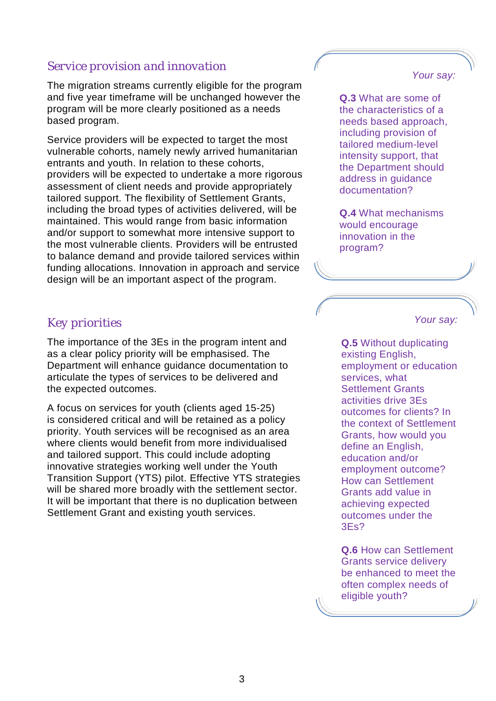### *Service provision and innovation*

The migration streams currently eligible for the program and five year timeframe will be unchanged however the program will be more clearly positioned as a needs based program.

Service providers will be expected to target the most vulnerable cohorts, namely newly arrived humanitarian entrants and youth. In relation to these cohorts, providers will be expected to undertake a more rigorous assessment of client needs and provide appropriately tailored support. The flexibility of Settlement Grants, including the broad types of activities delivered, will be maintained. This would range from basic information and/or support to somewhat more intensive support to the most vulnerable clients. Providers will be entrusted to balance demand and provide tailored services within funding allocations. Innovation in approach and service design will be an important aspect of the program.

#### *Your say:*

**Q.3** What are some of the characteristics of a needs based approach, including provision of tailored medium-level intensity support, that the Department should address in guidance documentation?

**Q.4** What mechanisms would encourage innovation in the program?

### *Key priorities*

The importance of the 3Es in the program intent and as a clear policy priority will be emphasised. The Department will enhance guidance documentation to articulate the types of services to be delivered and the expected outcomes.

A focus on services for youth (clients aged 15-25) is considered critical and will be retained as a policy priority. Youth services will be recognised as an area where clients would benefit from more individualised and tailored support. This could include adopting innovative strategies working well under the Youth Transition Support (YTS) pilot. Effective YTS strategies will be shared more broadly with the settlement sector. It will be important that there is no duplication between Settlement Grant and existing youth services.

*Your say:*

**Q.5** Without duplicating existing English, employment or education services, what Settlement Grants activities drive 3Es outcomes for clients? In the context of Settlement Grants, how would you define an English, education and/or employment outcome? How can Settlement Grants add value in achieving expected outcomes under the 3Es?

**Q.6** How can Settlement Grants service delivery be enhanced to meet the often complex needs of eligible youth?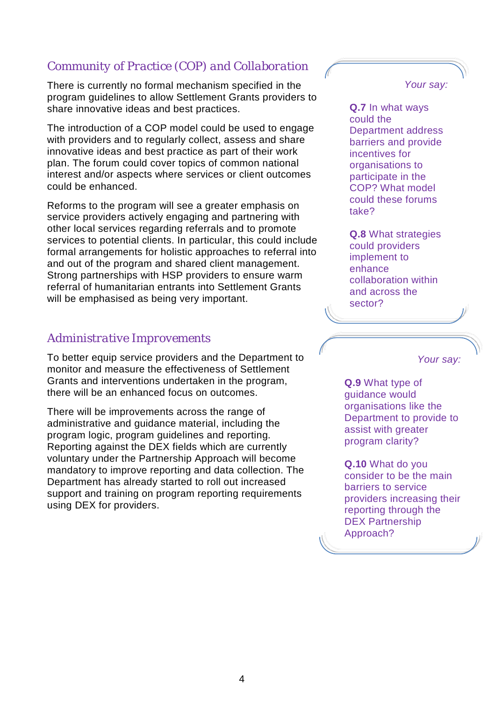### *Community of Practice (COP) and Collaboration*

There is currently no formal mechanism specified in the program guidelines to allow Settlement Grants providers to share innovative ideas and best practices.

The introduction of a COP model could be used to engage with providers and to regularly collect, assess and share innovative ideas and best practice as part of their work plan. The forum could cover topics of common national interest and/or aspects where services or client outcomes could be enhanced.

Reforms to the program will see a greater emphasis on service providers actively engaging and partnering with other local services regarding referrals and to promote services to potential clients. In particular, this could include formal arrangements for holistic approaches to referral into and out of the program and shared client management. Strong partnerships with HSP providers to ensure warm referral of humanitarian entrants into Settlement Grants will be emphasised as being very important.

### *Administrative Improvements*

To better equip service providers and the Department to monitor and measure the effectiveness of Settlement Grants and interventions undertaken in the program, there will be an enhanced focus on outcomes.

There will be improvements across the range of administrative and guidance material, including the program logic, program guidelines and reporting. Reporting against the DEX fields which are currently voluntary under the Partnership Approach will become mandatory to improve reporting and data collection. The Department has already started to roll out increased support and training on program reporting requirements using DEX for providers.

*Your say:*

**Q.7** In what ways could the Department address barriers and provide incentives for organisations to participate in the COP? What model could these forums take?

**Q.8** What strategies could providers implement to enhance collaboration within and across the sector?

*Your say:*

**Q.9** What type of guidance would organisations like the Department to provide to assist with greater program clarity?

**Q.10** What do you consider to be the main barriers to service providers increasing their reporting through the DEX Partnership Approach?